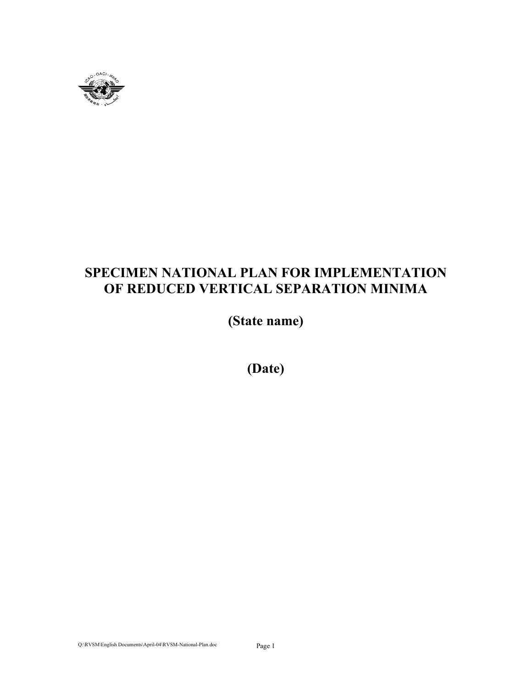

# **SPECIMEN NATIONAL PLAN FOR IMPLEMENTATION OF REDUCED VERTICAL SEPARATION MINIMA**

**(State name)** 

**(Date)**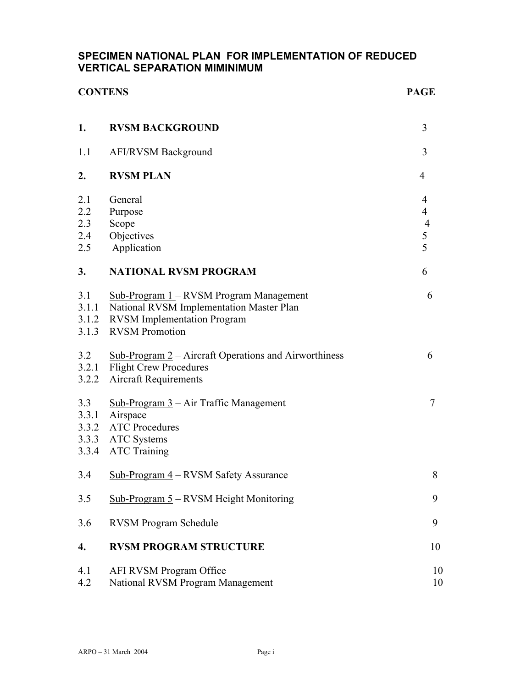#### **SPECIMEN NATIONAL PLAN FOR IMPLEMENTATION OF REDUCED VERTICAL SEPARATION MIMINIMUM**

| <b>CONTENS</b>                  |                                                                                                                                                    |                                                 |  |
|---------------------------------|----------------------------------------------------------------------------------------------------------------------------------------------------|-------------------------------------------------|--|
| 1.                              | <b>RVSM BACKGROUND</b>                                                                                                                             | 3                                               |  |
| 1.1                             | <b>AFI/RVSM Background</b>                                                                                                                         | 3                                               |  |
| 2.                              | <b>RVSM PLAN</b>                                                                                                                                   | 4                                               |  |
| 2.1<br>2.2<br>2.3<br>2.4<br>2.5 | General<br>Purpose<br>Scope<br>Objectives<br>Application                                                                                           | 4<br>$\overline{4}$<br>$\overline{4}$<br>5<br>5 |  |
| 3.                              | <b>NATIONAL RVSM PROGRAM</b>                                                                                                                       | 6                                               |  |
| 3.1<br>3.1.1<br>3.1.2<br>3.1.3  | Sub-Program 1 – RVSM Program Management<br>National RVSM Implementation Master Plan<br><b>RVSM</b> Implementation Program<br><b>RVSM</b> Promotion | 6                                               |  |
| 3.2<br>3.2.2                    | $Sub-Program 2 - Aircuit Operations and Airworthiness$<br>3.2.1 Flight Crew Procedures<br><b>Aircraft Requirements</b>                             | 6                                               |  |
| 3.3<br>3.3.1<br>3.3.2           | Sub-Program $3$ – Air Traffic Management<br>Airspace<br><b>ATC Procedures</b><br>3.3.3 ATC Systems<br>3.3.4 ATC Training                           | 7                                               |  |
| 3.4                             | Sub-Program 4 - RVSM Safety Assurance                                                                                                              | 8                                               |  |
| 3.5                             | Sub-Program 5 – RVSM Height Monitoring                                                                                                             | 9                                               |  |
| 3.6                             | <b>RVSM Program Schedule</b>                                                                                                                       | 9                                               |  |
| 4.                              | <b>RVSM PROGRAM STRUCTURE</b>                                                                                                                      | 10                                              |  |
| 4.1<br>4.2                      | AFI RVSM Program Office<br>National RVSM Program Management                                                                                        | 10<br>10                                        |  |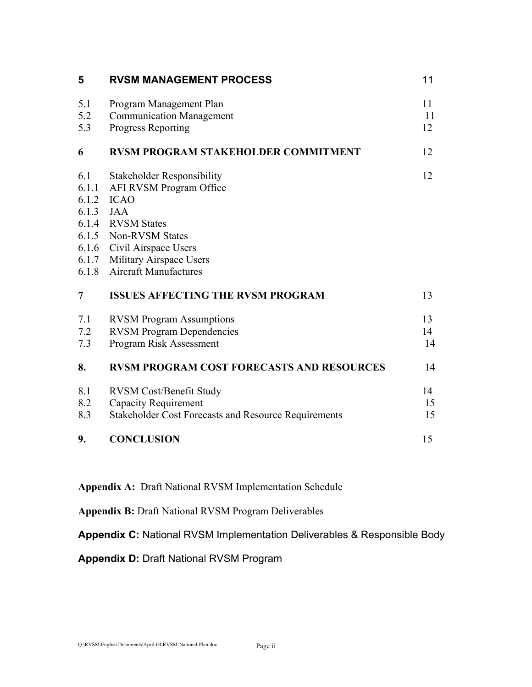| 5                                       | <b>RVSM MANAGEMENT PROCESS</b>                                                                                                                                                                                                         | 11             |
|-----------------------------------------|----------------------------------------------------------------------------------------------------------------------------------------------------------------------------------------------------------------------------------------|----------------|
| 5.1<br>5.2<br>5.3                       | Program Management Plan<br><b>Communication Management</b><br><b>Progress Reporting</b>                                                                                                                                                | 11<br>11<br>12 |
| 6                                       | <b>RVSM PROGRAM STAKEHOLDER COMMITMENT</b>                                                                                                                                                                                             | 12             |
| 6.1<br>6.1.1<br>6.1.2<br>6.1.3<br>6.1.8 | <b>Stakeholder Responsibility</b><br>AFI RVSM Program Office<br><b>ICAO</b><br><b>JAA</b><br>6.1.4 RVSM States<br>6.1.5 Non-RVSM States<br>6.1.6 Civil Airspace Users<br>6.1.7 Military Airspace Users<br><b>Aircraft Manufactures</b> | 12             |
| 7                                       | <b>ISSUES AFFECTING THE RVSM PROGRAM</b>                                                                                                                                                                                               | 13             |
| 7.1<br>7.2<br>7.3                       | <b>RVSM Program Assumptions</b><br><b>RVSM Program Dependencies</b><br>Program Risk Assessment                                                                                                                                         | 13<br>14<br>14 |
| 8.                                      | <b>RVSM PROGRAM COST FORECASTS AND RESOURCES</b>                                                                                                                                                                                       | 14             |
| 8.1<br>8.2<br>8.3                       | <b>RVSM Cost/Benefit Study</b><br><b>Capacity Requirement</b><br><b>Stakeholder Cost Forecasts and Resource Requirements</b>                                                                                                           | 14<br>15<br>15 |
| 9.                                      | <b>CONCLUSION</b>                                                                                                                                                                                                                      | 15             |

**Appendix A:** Draft National RVSM Implementation Schedule

**Appendix B:** Draft National RVSM Program Deliverables

**Appendix C:** National RVSM Implementation Deliverables & Responsible Body

**Appendix D:** Draft National RVSM Program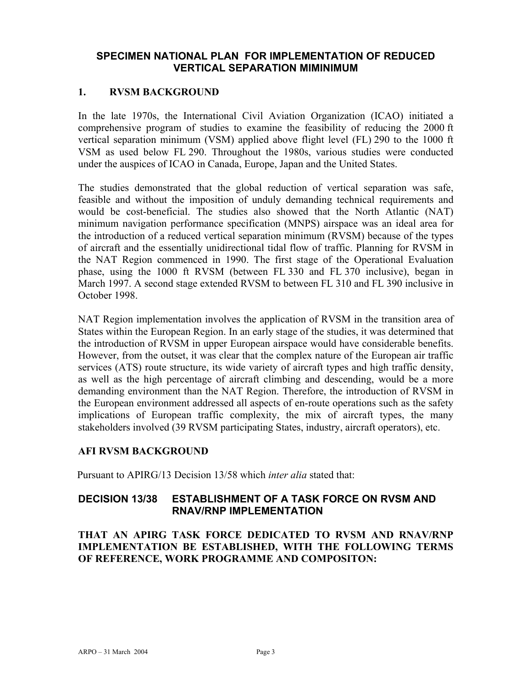#### **SPECIMEN NATIONAL PLAN FOR IMPLEMENTATION OF REDUCED VERTICAL SEPARATION MIMINIMUM**

#### **1. RVSM BACKGROUND**

In the late 1970s, the International Civil Aviation Organization (ICAO) initiated a comprehensive program of studies to examine the feasibility of reducing the 2000 ft vertical separation minimum (VSM) applied above flight level (FL) 290 to the 1000 ft VSM as used below FL 290. Throughout the 1980s, various studies were conducted under the auspices of ICAO in Canada, Europe, Japan and the United States.

The studies demonstrated that the global reduction of vertical separation was safe, feasible and without the imposition of unduly demanding technical requirements and would be cost-beneficial. The studies also showed that the North Atlantic (NAT) minimum navigation performance specification (MNPS) airspace was an ideal area for the introduction of a reduced vertical separation minimum (RVSM) because of the types of aircraft and the essentially unidirectional tidal flow of traffic. Planning for RVSM in the NAT Region commenced in 1990. The first stage of the Operational Evaluation phase, using the 1000 ft RVSM (between FL 330 and FL 370 inclusive), began in March 1997. A second stage extended RVSM to between FL 310 and FL 390 inclusive in October 1998.

NAT Region implementation involves the application of RVSM in the transition area of States within the European Region. In an early stage of the studies, it was determined that the introduction of RVSM in upper European airspace would have considerable benefits. However, from the outset, it was clear that the complex nature of the European air traffic services (ATS) route structure, its wide variety of aircraft types and high traffic density, as well as the high percentage of aircraft climbing and descending, would be a more demanding environment than the NAT Region. Therefore, the introduction of RVSM in the European environment addressed all aspects of en-route operations such as the safety implications of European traffic complexity, the mix of aircraft types, the many stakeholders involved (39 RVSM participating States, industry, aircraft operators), etc.

#### **AFI RVSM BACKGROUND**

Pursuant to APIRG/13 Decision 13/58 which *inter alia* stated that:

#### **DECISION 13/38 ESTABLISHMENT OF A TASK FORCE ON RVSM AND RNAV/RNP IMPLEMENTATION**

**THAT AN APIRG TASK FORCE DEDICATED TO RVSM AND RNAV/RNP IMPLEMENTATION BE ESTABLISHED, WITH THE FOLLOWING TERMS OF REFERENCE, WORK PROGRAMME AND COMPOSITON:**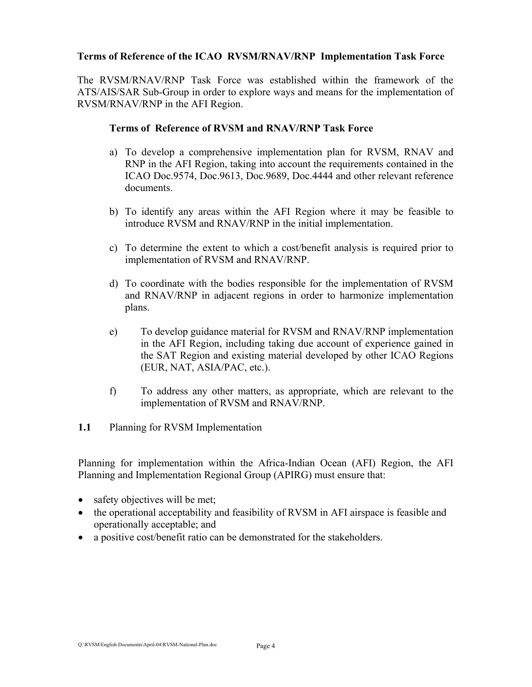#### **Terms of Reference of the ICAO RVSM/RNAV/RNP Implementation Task Force**

The RVSM/RNAV/RNP Task Force was established within the framework of the ATS/AIS/SAR Sub-Group in order to explore ways and means for the implementation of RVSM/RNAV/RNP in the AFI Region.

#### **Terms of Reference of RVSM and RNAV/RNP Task Force**

- a) To develop a comprehensive implementation plan for RVSM, RNAV and RNP in the AFI Region, taking into account the requirements contained in the ICAO Doc.9574, Doc.9613, Doc.9689, Doc.4444 and other relevant reference documents.
- b) To identify any areas within the AFI Region where it may be feasible to introduce RVSM and RNAV/RNP in the initial implementation.
- c) To determine the extent to which a cost/benefit analysis is required prior to implementation of RVSM and RNAV/RNP.
- d) To coordinate with the bodies responsible for the implementation of RVSM and RNAV/RNP in adjacent regions in order to harmonize implementation plans.
- e) To develop guidance material for RVSM and RNAV/RNP implementation in the AFI Region, including taking due account of experience gained in the SAT Region and existing material developed by other ICAO Regions (EUR, NAT, ASIA/PAC, etc.).
- f) To address any other matters, as appropriate, which are relevant to the implementation of RVSM and RNAV/RNP.
- **1.1** Planning for RVSM Implementation

Planning for implementation within the Africa-Indian Ocean (AFI) Region, the AFI Planning and Implementation Regional Group (APIRG) must ensure that:

- safety objectives will be met;
- the operational acceptability and feasibility of RVSM in AFI airspace is feasible and operationally acceptable; and
- a positive cost/benefit ratio can be demonstrated for the stakeholders.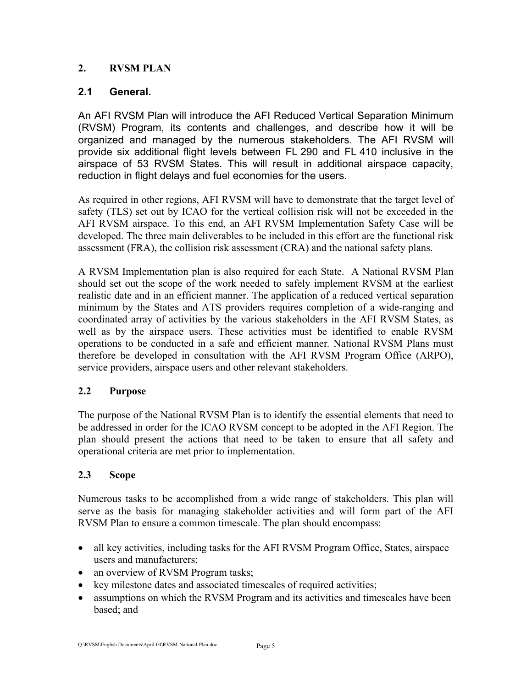#### **2. RVSM PLAN**

#### **2.1 General.**

An AFI RVSM Plan will introduce the AFI Reduced Vertical Separation Minimum (RVSM) Program, its contents and challenges, and describe how it will be organized and managed by the numerous stakeholders. The AFI RVSM will provide six additional flight levels between FL 290 and FL 410 inclusive in the airspace of 53 RVSM States. This will result in additional airspace capacity, reduction in flight delays and fuel economies for the users.

As required in other regions, AFI RVSM will have to demonstrate that the target level of safety (TLS) set out by ICAO for the vertical collision risk will not be exceeded in the AFI RVSM airspace. To this end, an AFI RVSM Implementation Safety Case will be developed. The three main deliverables to be included in this effort are the functional risk assessment (FRA), the collision risk assessment (CRA) and the national safety plans.

A RVSM Implementation plan is also required for each State. A National RVSM Plan should set out the scope of the work needed to safely implement RVSM at the earliest realistic date and in an efficient manner. The application of a reduced vertical separation minimum by the States and ATS providers requires completion of a wide-ranging and coordinated array of activities by the various stakeholders in the AFI RVSM States, as well as by the airspace users. These activities must be identified to enable RVSM operations to be conducted in a safe and efficient manner*.* National RVSM Plans must therefore be developed in consultation with the AFI RVSM Program Office (ARPO), service providers, airspace users and other relevant stakeholders.

#### **2.2 Purpose**

The purpose of the National RVSM Plan is to identify the essential elements that need to be addressed in order for the ICAO RVSM concept to be adopted in the AFI Region. The plan should present the actions that need to be taken to ensure that all safety and operational criteria are met prior to implementation.

#### **2.3 Scope**

Numerous tasks to be accomplished from a wide range of stakeholders. This plan will serve as the basis for managing stakeholder activities and will form part of the AFI RVSM Plan to ensure a common timescale. The plan should encompass:

- all key activities, including tasks for the AFI RVSM Program Office, States, airspace users and manufacturers;
- an overview of RVSM Program tasks;
- key milestone dates and associated timescales of required activities;
- assumptions on which the RVSM Program and its activities and timescales have been based; and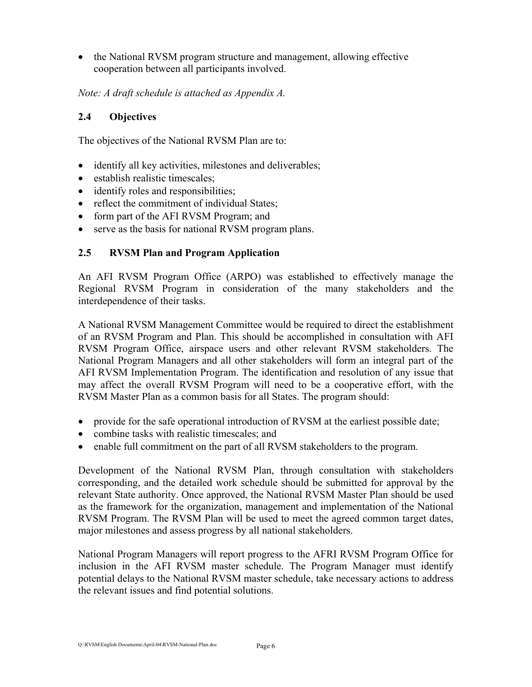• the National RVSM program structure and management, allowing effective cooperation between all participants involved.

*Note: A draft schedule is attached as Appendix A.* 

#### **2.4 Objectives**

The objectives of the National RVSM Plan are to:

- identify all key activities, milestones and deliverables;
- establish realistic timescales;
- identify roles and responsibilities;
- reflect the commitment of individual States;
- form part of the AFI RVSM Program; and
- serve as the basis for national RVSM program plans.

#### **2.5 RVSM Plan and Program Application**

An AFI RVSM Program Office (ARPO) was established to effectively manage the Regional RVSM Program in consideration of the many stakeholders and the interdependence of their tasks.

A National RVSM Management Committee would be required to direct the establishment of an RVSM Program and Plan. This should be accomplished in consultation with AFI RVSM Program Office, airspace users and other relevant RVSM stakeholders. The National Program Managers and all other stakeholders will form an integral part of the AFI RVSM Implementation Program. The identification and resolution of any issue that may affect the overall RVSM Program will need to be a cooperative effort, with the RVSM Master Plan as a common basis for all States. The program should:

- provide for the safe operational introduction of RVSM at the earliest possible date;
- combine tasks with realistic timescales; and
- enable full commitment on the part of all RVSM stakeholders to the program.

Development of the National RVSM Plan, through consultation with stakeholders corresponding, and the detailed work schedule should be submitted for approval by the relevant State authority. Once approved, the National RVSM Master Plan should be used as the framework for the organization, management and implementation of the National RVSM Program. The RVSM Plan will be used to meet the agreed common target dates, major milestones and assess progress by all national stakeholders.

National Program Managers will report progress to the AFRI RVSM Program Office for inclusion in the AFI RVSM master schedule. The Program Manager must identify potential delays to the National RVSM master schedule, take necessary actions to address the relevant issues and find potential solutions.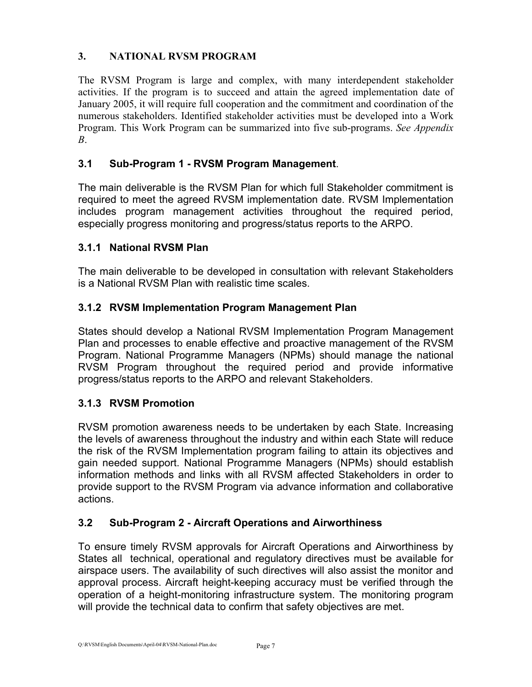#### **3. NATIONAL RVSM PROGRAM**

The RVSM Program is large and complex, with many interdependent stakeholder activities. If the program is to succeed and attain the agreed implementation date of January 2005, it will require full cooperation and the commitment and coordination of the numerous stakeholders. Identified stakeholder activities must be developed into a Work Program. This Work Program can be summarized into five sub-programs. *See Appendix B*.

### **3.1 Sub-Program 1 - RVSM Program Management**.

The main deliverable is the RVSM Plan for which full Stakeholder commitment is required to meet the agreed RVSM implementation date. RVSM Implementation includes program management activities throughout the required period, especially progress monitoring and progress/status reports to the ARPO.

#### **3.1.1 National RVSM Plan**

The main deliverable to be developed in consultation with relevant Stakeholders is a National RVSM Plan with realistic time scales.

#### **3.1.2 RVSM Implementation Program Management Plan**

States should develop a National RVSM Implementation Program Management Plan and processes to enable effective and proactive management of the RVSM Program. National Programme Managers (NPMs) should manage the national RVSM Program throughout the required period and provide informative progress/status reports to the ARPO and relevant Stakeholders.

#### **3.1.3 RVSM Promotion**

RVSM promotion awareness needs to be undertaken by each State. Increasing the levels of awareness throughout the industry and within each State will reduce the risk of the RVSM Implementation program failing to attain its objectives and gain needed support. National Programme Managers (NPMs) should establish information methods and links with all RVSM affected Stakeholders in order to provide support to the RVSM Program via advance information and collaborative actions.

#### **3.2 Sub-Program 2 - Aircraft Operations and Airworthiness**

To ensure timely RVSM approvals for Aircraft Operations and Airworthiness by States all technical, operational and regulatory directives must be available for airspace users. The availability of such directives will also assist the monitor and approval process. Aircraft height-keeping accuracy must be verified through the operation of a height-monitoring infrastructure system. The monitoring program will provide the technical data to confirm that safety objectives are met.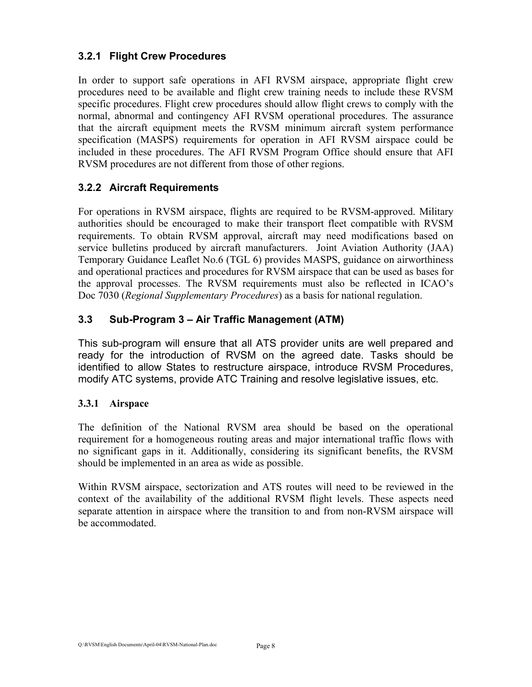#### **3.2.1 Flight Crew Procedures**

In order to support safe operations in AFI RVSM airspace, appropriate flight crew procedures need to be available and flight crew training needs to include these RVSM specific procedures. Flight crew procedures should allow flight crews to comply with the normal, abnormal and contingency AFI RVSM operational procedures. The assurance that the aircraft equipment meets the RVSM minimum aircraft system performance specification (MASPS) requirements for operation in AFI RVSM airspace could be included in these procedures. The AFI RVSM Program Office should ensure that AFI RVSM procedures are not different from those of other regions.

#### **3.2.2 Aircraft Requirements**

For operations in RVSM airspace, flights are required to be RVSM-approved. Military authorities should be encouraged to make their transport fleet compatible with RVSM requirements. To obtain RVSM approval, aircraft may need modifications based on service bulletins produced by aircraft manufacturers. Joint Aviation Authority (JAA) Temporary Guidance Leaflet No.6 (TGL 6) provides MASPS, guidance on airworthiness and operational practices and procedures for RVSM airspace that can be used as bases for the approval processes. The RVSM requirements must also be reflected in ICAO's Doc 7030 (*Regional Supplementary Procedures*) as a basis for national regulation.

#### **3.3 Sub-Program 3 – Air Traffic Management (ATM)**

This sub-program will ensure that all ATS provider units are well prepared and ready for the introduction of RVSM on the agreed date. Tasks should be identified to allow States to restructure airspace, introduce RVSM Procedures, modify ATC systems, provide ATC Training and resolve legislative issues, etc.

#### **3.3.1 Airspace**

The definition of the National RVSM area should be based on the operational requirement for a homogeneous routing areas and major international traffic flows with no significant gaps in it. Additionally, considering its significant benefits, the RVSM should be implemented in an area as wide as possible.

Within RVSM airspace, sectorization and ATS routes will need to be reviewed in the context of the availability of the additional RVSM flight levels. These aspects need separate attention in airspace where the transition to and from non-RVSM airspace will be accommodated.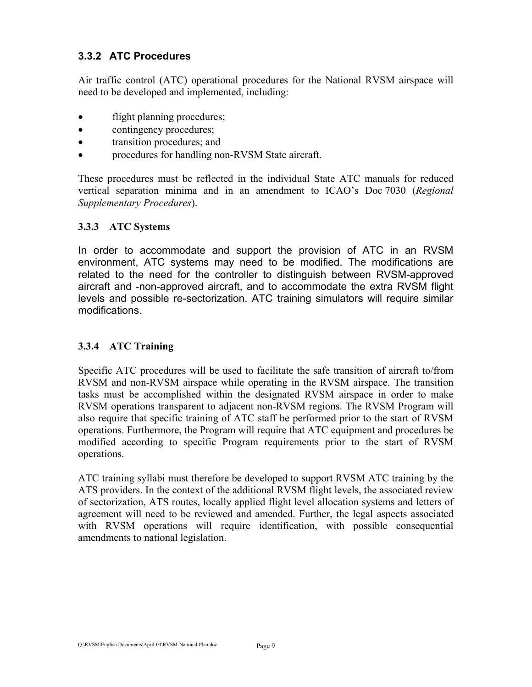#### **3.3.2 ATC Procedures**

Air traffic control (ATC) operational procedures for the National RVSM airspace will need to be developed and implemented, including:

- flight planning procedures;
- contingency procedures;
- transition procedures; and
- procedures for handling non-RVSM State aircraft.

These procedures must be reflected in the individual State ATC manuals for reduced vertical separation minima and in an amendment to ICAO's Doc 7030 (*Regional Supplementary Procedures*).

#### **3.3.3 ATC Systems**

In order to accommodate and support the provision of ATC in an RVSM environment, ATC systems may need to be modified. The modifications are related to the need for the controller to distinguish between RVSM-approved aircraft and -non-approved aircraft, and to accommodate the extra RVSM flight levels and possible re-sectorization. ATC training simulators will require similar modifications.

#### **3.3.4 ATC Training**

Specific ATC procedures will be used to facilitate the safe transition of aircraft to/from RVSM and non-RVSM airspace while operating in the RVSM airspace. The transition tasks must be accomplished within the designated RVSM airspace in order to make RVSM operations transparent to adjacent non-RVSM regions. The RVSM Program will also require that specific training of ATC staff be performed prior to the start of RVSM operations. Furthermore, the Program will require that ATC equipment and procedures be modified according to specific Program requirements prior to the start of RVSM operations.

ATC training syllabi must therefore be developed to support RVSM ATC training by the ATS providers. In the context of the additional RVSM flight levels, the associated review of sectorization, ATS routes, locally applied flight level allocation systems and letters of agreement will need to be reviewed and amended. Further, the legal aspects associated with RVSM operations will require identification, with possible consequential amendments to national legislation.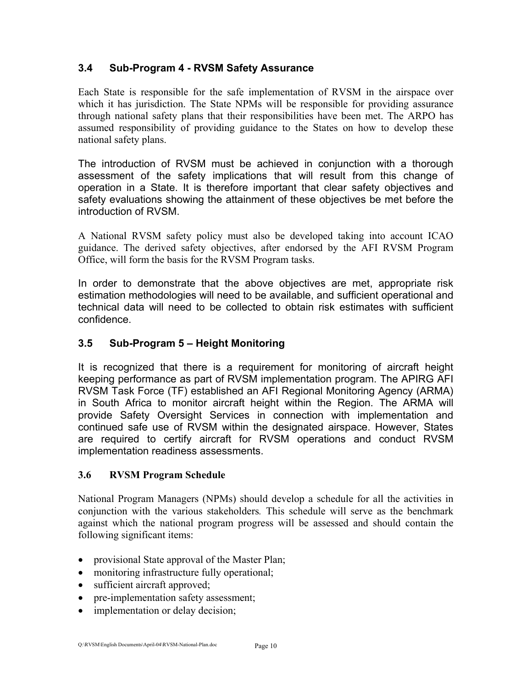### **3.4 Sub-Program 4 - RVSM Safety Assurance**

Each State is responsible for the safe implementation of RVSM in the airspace over which it has jurisdiction. The State NPMs will be responsible for providing assurance through national safety plans that their responsibilities have been met. The ARPO has assumed responsibility of providing guidance to the States on how to develop these national safety plans.

The introduction of RVSM must be achieved in conjunction with a thorough assessment of the safety implications that will result from this change of operation in a State. It is therefore important that clear safety objectives and safety evaluations showing the attainment of these objectives be met before the introduction of RVSM.

A National RVSM safety policy must also be developed taking into account ICAO guidance. The derived safety objectives, after endorsed by the AFI RVSM Program Office, will form the basis for the RVSM Program tasks.

In order to demonstrate that the above objectives are met, appropriate risk estimation methodologies will need to be available, and sufficient operational and technical data will need to be collected to obtain risk estimates with sufficient confidence.

### **3.5 Sub-Program 5 – Height Monitoring**

It is recognized that there is a requirement for monitoring of aircraft height keeping performance as part of RVSM implementation program. The APIRG AFI RVSM Task Force (TF) established an AFI Regional Monitoring Agency (ARMA) in South Africa to monitor aircraft height within the Region. The ARMA will provide Safety Oversight Services in connection with implementation and continued safe use of RVSM within the designated airspace. However, States are required to certify aircraft for RVSM operations and conduct RVSM implementation readiness assessments.

#### **3.6 RVSM Program Schedule**

National Program Managers (NPMs) should develop a schedule for all the activities in conjunction with the various stakeholders*.* This schedule will serve as the benchmark against which the national program progress will be assessed and should contain the following significant items:

- provisional State approval of the Master Plan;
- monitoring infrastructure fully operational:
- sufficient aircraft approved;
- pre-implementation safety assessment;
- implementation or delay decision;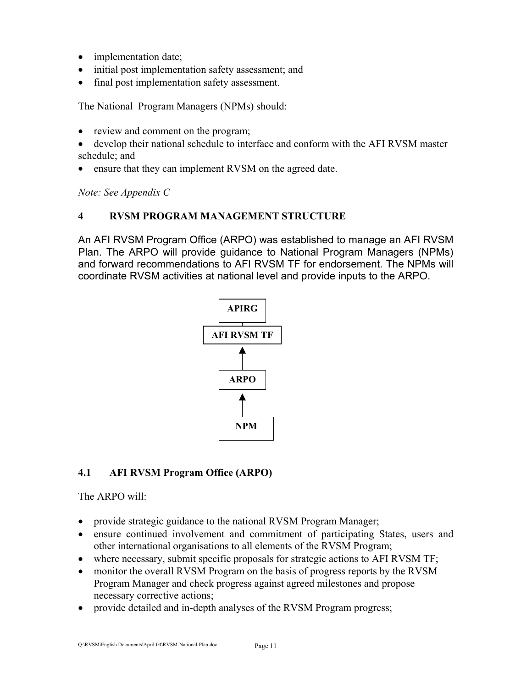- implementation date;
- initial post implementation safety assessment; and
- final post implementation safety assessment.

The National Program Managers (NPMs) should:

- review and comment on the program;
- develop their national schedule to interface and conform with the AFI RVSM master schedule; and
- ensure that they can implement RVSM on the agreed date.

*Note: See Appendix C* 

#### **4 RVSM PROGRAM MANAGEMENT STRUCTURE**

An AFI RVSM Program Office (ARPO) was established to manage an AFI RVSM Plan. The ARPO will provide guidance to National Program Managers (NPMs) and forward recommendations to AFI RVSM TF for endorsement. The NPMs will coordinate RVSM activities at national level and provide inputs to the ARPO.



#### **4.1 AFI RVSM Program Office (ARPO)**

The ARPO will:

- provide strategic guidance to the national RVSM Program Manager;
- ensure continued involvement and commitment of participating States, users and other international organisations to all elements of the RVSM Program;
- where necessary, submit specific proposals for strategic actions to AFI RVSM TF;
- monitor the overall RVSM Program on the basis of progress reports by the RVSM Program Manager and check progress against agreed milestones and propose necessary corrective actions;
- provide detailed and in-depth analyses of the RVSM Program progress;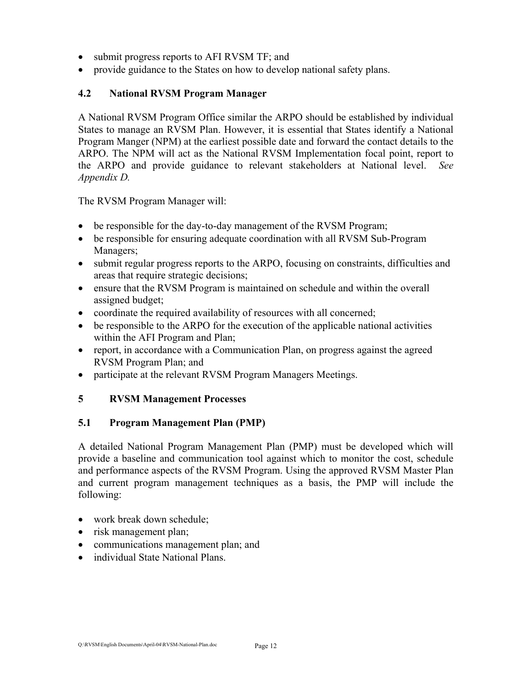- submit progress reports to AFI RVSM TF; and
- provide guidance to the States on how to develop national safety plans.

#### **4.2 National RVSM Program Manager**

A National RVSM Program Office similar the ARPO should be established by individual States to manage an RVSM Plan. However, it is essential that States identify a National Program Manger (NPM) at the earliest possible date and forward the contact details to the ARPO. The NPM will act as the National RVSM Implementation focal point, report to the ARPO and provide guidance to relevant stakeholders at National level. *See Appendix D.* 

The RVSM Program Manager will:

- be responsible for the day-to-day management of the RVSM Program;
- be responsible for ensuring adequate coordination with all RVSM Sub-Program Managers;
- submit regular progress reports to the ARPO, focusing on constraints, difficulties and areas that require strategic decisions;
- ensure that the RVSM Program is maintained on schedule and within the overall assigned budget;
- coordinate the required availability of resources with all concerned;
- be responsible to the ARPO for the execution of the applicable national activities within the AFI Program and Plan;
- report, in accordance with a Communication Plan, on progress against the agreed RVSM Program Plan; and
- participate at the relevant RVSM Program Managers Meetings.

#### **5 RVSM Management Processes**

#### **5.1 Program Management Plan (PMP)**

A detailed National Program Management Plan (PMP) must be developed which will provide a baseline and communication tool against which to monitor the cost, schedule and performance aspects of the RVSM Program. Using the approved RVSM Master Plan and current program management techniques as a basis, the PMP will include the following:

- work break down schedule;
- risk management plan;
- communications management plan; and
- individual State National Plans.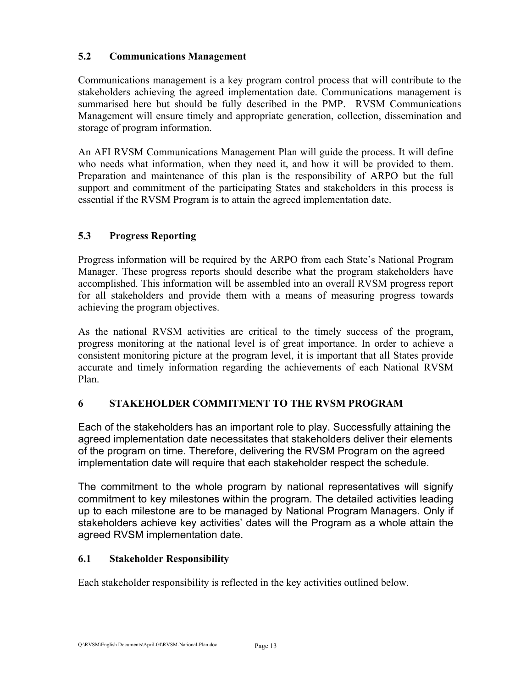#### **5.2 Communications Management**

Communications management is a key program control process that will contribute to the stakeholders achieving the agreed implementation date. Communications management is summarised here but should be fully described in the PMP. RVSM Communications Management will ensure timely and appropriate generation, collection, dissemination and storage of program information.

An AFI RVSM Communications Management Plan will guide the process. It will define who needs what information, when they need it, and how it will be provided to them. Preparation and maintenance of this plan is the responsibility of ARPO but the full support and commitment of the participating States and stakeholders in this process is essential if the RVSM Program is to attain the agreed implementation date.

### **5.3 Progress Reporting**

Progress information will be required by the ARPO from each State's National Program Manager. These progress reports should describe what the program stakeholders have accomplished. This information will be assembled into an overall RVSM progress report for all stakeholders and provide them with a means of measuring progress towards achieving the program objectives.

As the national RVSM activities are critical to the timely success of the program, progress monitoring at the national level is of great importance. In order to achieve a consistent monitoring picture at the program level, it is important that all States provide accurate and timely information regarding the achievements of each National RVSM Plan.

#### **6 STAKEHOLDER COMMITMENT TO THE RVSM PROGRAM**

Each of the stakeholders has an important role to play. Successfully attaining the agreed implementation date necessitates that stakeholders deliver their elements of the program on time. Therefore, delivering the RVSM Program on the agreed implementation date will require that each stakeholder respect the schedule.

The commitment to the whole program by national representatives will signify commitment to key milestones within the program. The detailed activities leading up to each milestone are to be managed by National Program Managers. Only if stakeholders achieve key activities' dates will the Program as a whole attain the agreed RVSM implementation date.

#### **6.1 Stakeholder Responsibility**

Each stakeholder responsibility is reflected in the key activities outlined below.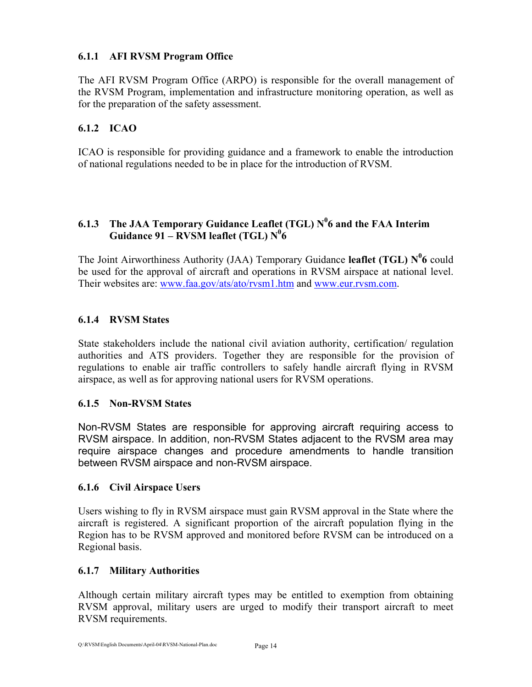#### **6.1.1 AFI RVSM Program Office**

The AFI RVSM Program Office (ARPO) is responsible for the overall management of the RVSM Program, implementation and infrastructure monitoring operation, as well as for the preparation of the safety assessment.

#### **6.1.2 ICAO**

ICAO is responsible for providing guidance and a framework to enable the introduction of national regulations needed to be in place for the introduction of RVSM.

#### 6.1.3 The JAA Temporary Guidance Leaflet (TGL) N<sup>0</sup>6 and the FAA Interim Guidance 91 – RVSM leaflet (TGL)  $N^06$

The Joint Airworthiness Authority (JAA) Temporary Guidance **leaflet (TGL)**  $N^0$ 6 could be used for the approval of aircraft and operations in RVSM airspace at national level. Their websites are: [www.faa.gov/ats/ato/rvsm1.htm](http://www.faa.gov/ats/ato/rvsm1.htm) and [www.eur.rvsm.com.](http://www.eur.rvsm.com/)

#### **6.1.4 RVSM States**

State stakeholders include the national civil aviation authority, certification/ regulation authorities and ATS providers. Together they are responsible for the provision of regulations to enable air traffic controllers to safely handle aircraft flying in RVSM airspace, as well as for approving national users for RVSM operations.

#### **6.1.5 Non-RVSM States**

Non-RVSM States are responsible for approving aircraft requiring access to RVSM airspace. In addition, non-RVSM States adjacent to the RVSM area may require airspace changes and procedure amendments to handle transition between RVSM airspace and non-RVSM airspace.

#### **6.1.6 Civil Airspace Users**

Users wishing to fly in RVSM airspace must gain RVSM approval in the State where the aircraft is registered. A significant proportion of the aircraft population flying in the Region has to be RVSM approved and monitored before RVSM can be introduced on a Regional basis.

#### **6.1.7 Military Authorities**

Although certain military aircraft types may be entitled to exemption from obtaining RVSM approval, military users are urged to modify their transport aircraft to meet RVSM requirements.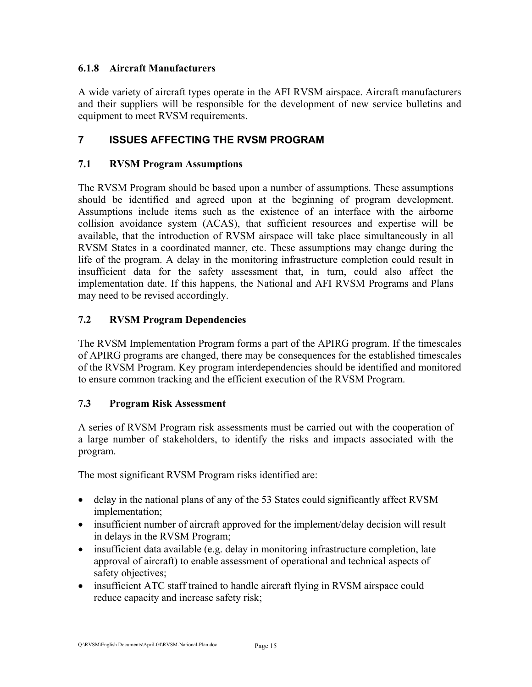#### **6.1.8 Aircraft Manufacturers**

A wide variety of aircraft types operate in the AFI RVSM airspace. Aircraft manufacturers and their suppliers will be responsible for the development of new service bulletins and equipment to meet RVSM requirements.

## **7 ISSUES AFFECTING THE RVSM PROGRAM**

#### **7.1 RVSM Program Assumptions**

The RVSM Program should be based upon a number of assumptions. These assumptions should be identified and agreed upon at the beginning of program development. Assumptions include items such as the existence of an interface with the airborne collision avoidance system (ACAS), that sufficient resources and expertise will be available, that the introduction of RVSM airspace will take place simultaneously in all RVSM States in a coordinated manner, etc. These assumptions may change during the life of the program. A delay in the monitoring infrastructure completion could result in insufficient data for the safety assessment that, in turn, could also affect the implementation date. If this happens, the National and AFI RVSM Programs and Plans may need to be revised accordingly.

#### **7.2 RVSM Program Dependencies**

The RVSM Implementation Program forms a part of the APIRG program. If the timescales of APIRG programs are changed, there may be consequences for the established timescales of the RVSM Program. Key program interdependencies should be identified and monitored to ensure common tracking and the efficient execution of the RVSM Program.

#### **7.3 Program Risk Assessment**

A series of RVSM Program risk assessments must be carried out with the cooperation of a large number of stakeholders, to identify the risks and impacts associated with the program.

The most significant RVSM Program risks identified are:

- delay in the national plans of any of the 53 States could significantly affect RVSM implementation;
- insufficient number of aircraft approved for the implement/delay decision will result in delays in the RVSM Program;
- insufficient data available (e.g. delay in monitoring infrastructure completion, late approval of aircraft) to enable assessment of operational and technical aspects of safety objectives;
- insufficient ATC staff trained to handle aircraft flying in RVSM airspace could reduce capacity and increase safety risk;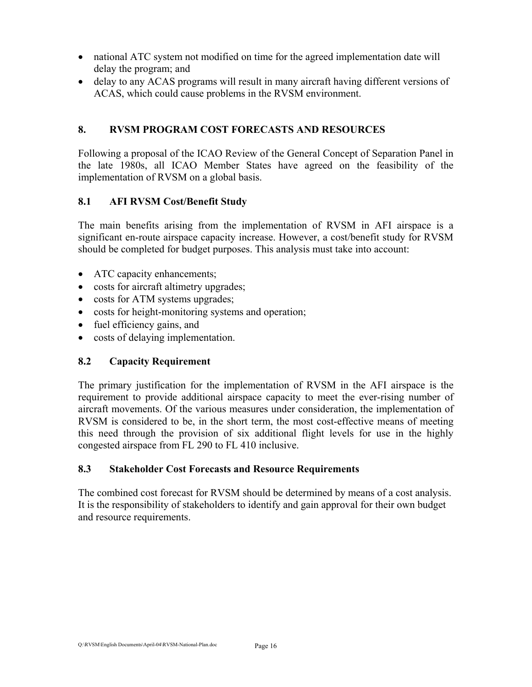- national ATC system not modified on time for the agreed implementation date will delay the program; and
- delay to any ACAS programs will result in many aircraft having different versions of ACAS, which could cause problems in the RVSM environment.

#### **8. RVSM PROGRAM COST FORECASTS AND RESOURCES**

Following a proposal of the ICAO Review of the General Concept of Separation Panel in the late 1980s, all ICAO Member States have agreed on the feasibility of the implementation of RVSM on a global basis.

#### **8.1 AFI RVSM Cost/Benefit Study**

The main benefits arising from the implementation of RVSM in AFI airspace is a significant en-route airspace capacity increase. However, a cost/benefit study for RVSM should be completed for budget purposes. This analysis must take into account:

- ATC capacity enhancements;
- costs for aircraft altimetry upgrades;
- costs for ATM systems upgrades;
- costs for height-monitoring systems and operation;
- fuel efficiency gains, and
- costs of delaying implementation.

#### **8.2 Capacity Requirement**

The primary justification for the implementation of RVSM in the AFI airspace is the requirement to provide additional airspace capacity to meet the ever-rising number of aircraft movements. Of the various measures under consideration, the implementation of RVSM is considered to be, in the short term, the most cost-effective means of meeting this need through the provision of six additional flight levels for use in the highly congested airspace from FL 290 to FL 410 inclusive.

#### **8.3 Stakeholder Cost Forecasts and Resource Requirements**

The combined cost forecast for RVSM should be determined by means of a cost analysis. It is the responsibility of stakeholders to identify and gain approval for their own budget and resource requirements.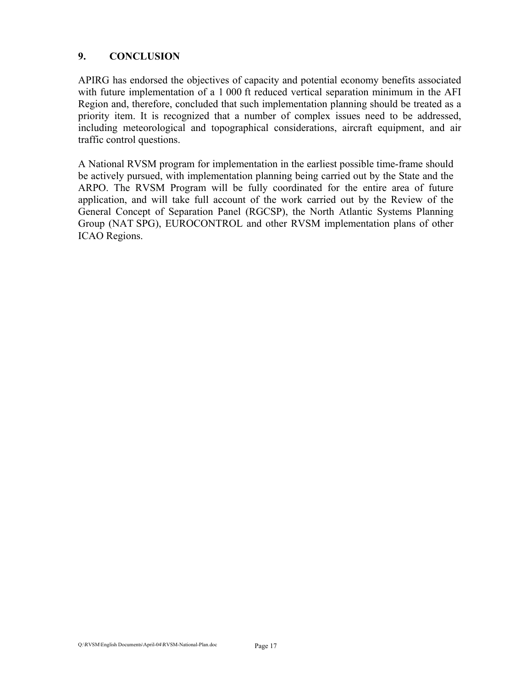#### **9. CONCLUSION**

APIRG has endorsed the objectives of capacity and potential economy benefits associated with future implementation of a 1 000 ft reduced vertical separation minimum in the AFI Region and, therefore, concluded that such implementation planning should be treated as a priority item. It is recognized that a number of complex issues need to be addressed, including meteorological and topographical considerations, aircraft equipment, and air traffic control questions.

A National RVSM program for implementation in the earliest possible time-frame should be actively pursued, with implementation planning being carried out by the State and the ARPO. The RVSM Program will be fully coordinated for the entire area of future application, and will take full account of the work carried out by the Review of the General Concept of Separation Panel (RGCSP), the North Atlantic Systems Planning Group (NAT SPG), EUROCONTROL and other RVSM implementation plans of other ICAO Regions.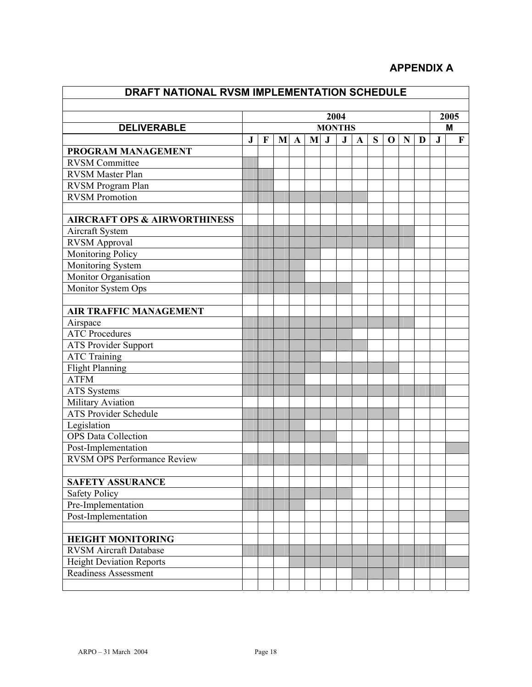## **APPENDIX A**

| DRAFT NATIONAL RVSM IMPLEMENTATION SCHEDULE |               |          |   |             |   |         |         |             |   |             |   |   |         |   |
|---------------------------------------------|---------------|----------|---|-------------|---|---------|---------|-------------|---|-------------|---|---|---------|---|
|                                             |               |          |   |             |   |         |         |             |   |             |   |   |         |   |
|                                             |               | 2004     |   |             |   | 2005    |         |             |   |             |   |   |         |   |
| <b>DELIVERABLE</b>                          | <b>MONTHS</b> |          |   | M           |   |         |         |             |   |             |   |   |         |   |
|                                             | J             | $\bf{F}$ | M | $\mathbf A$ | M | $\bf J$ | $\bf J$ | $\mathbf A$ | S | $\mathbf 0$ | N | D | $\bf J$ | F |
| PROGRAM MANAGEMENT                          |               |          |   |             |   |         |         |             |   |             |   |   |         |   |
| <b>RVSM Committee</b>                       |               |          |   |             |   |         |         |             |   |             |   |   |         |   |
| <b>RVSM</b> Master Plan                     |               |          |   |             |   |         |         |             |   |             |   |   |         |   |
| RVSM Program Plan                           |               |          |   |             |   |         |         |             |   |             |   |   |         |   |
| <b>RVSM Promotion</b>                       |               |          |   |             |   |         |         |             |   |             |   |   |         |   |
| <b>AIRCRAFT OPS &amp; AIRWORTHINESS</b>     |               |          |   |             |   |         |         |             |   |             |   |   |         |   |
| Aircraft System                             |               |          |   |             |   |         |         |             |   |             |   |   |         |   |
| <b>RVSM Approval</b>                        |               |          |   |             |   |         |         |             |   |             |   |   |         |   |
| <b>Monitoring Policy</b>                    |               |          |   |             |   |         |         |             |   |             |   |   |         |   |
| Monitoring System                           |               |          |   |             |   |         |         |             |   |             |   |   |         |   |
| Monitor Organisation                        |               |          |   |             |   |         |         |             |   |             |   |   |         |   |
| Monitor System Ops                          |               |          |   |             |   |         |         |             |   |             |   |   |         |   |
|                                             |               |          |   |             |   |         |         |             |   |             |   |   |         |   |
| <b>AIR TRAFFIC MANAGEMENT</b>               |               |          |   |             |   |         |         |             |   |             |   |   |         |   |
| Airspace                                    |               |          |   |             |   |         |         |             |   |             |   |   |         |   |
| <b>ATC Procedures</b>                       |               |          |   |             |   |         |         |             |   |             |   |   |         |   |
| <b>ATS Provider Support</b>                 |               |          |   |             |   |         |         |             |   |             |   |   |         |   |
| <b>ATC Training</b>                         |               |          |   |             |   |         |         |             |   |             |   |   |         |   |
| <b>Flight Planning</b>                      |               |          |   |             |   |         |         |             |   |             |   |   |         |   |
| <b>ATFM</b>                                 |               |          |   |             |   |         |         |             |   |             |   |   |         |   |
| <b>ATS</b> Systems                          |               |          |   |             |   |         |         |             |   |             |   |   |         |   |
| Military Aviation                           |               |          |   |             |   |         |         |             |   |             |   |   |         |   |
| <b>ATS Provider Schedule</b>                |               |          |   |             |   |         |         |             |   |             |   |   |         |   |
| Legislation                                 |               |          |   |             |   |         |         |             |   |             |   |   |         |   |
| <b>OPS</b> Data Collection                  |               |          |   |             |   |         |         |             |   |             |   |   |         |   |
| Post-Implementation                         |               |          |   |             |   |         |         |             |   |             |   |   |         |   |
| <b>RVSM OPS Performance Review</b>          |               |          |   |             |   |         |         |             |   |             |   |   |         |   |
|                                             |               |          |   |             |   |         |         |             |   |             |   |   |         |   |
| <b>SAFETY ASSURANCE</b>                     |               |          |   |             |   |         |         |             |   |             |   |   |         |   |
| <b>Safety Policy</b>                        |               |          |   |             |   |         |         |             |   |             |   |   |         |   |
| Pre-Implementation                          |               |          |   |             |   |         |         |             |   |             |   |   |         |   |
| Post-Implementation                         |               |          |   |             |   |         |         |             |   |             |   |   |         |   |
|                                             |               |          |   |             |   |         |         |             |   |             |   |   |         |   |
| <b>HEIGHT MONITORING</b>                    |               |          |   |             |   |         |         |             |   |             |   |   |         |   |
| <b>RVSM Aircraft Database</b>               |               |          |   |             |   |         |         |             |   |             |   |   |         |   |
| <b>Height Deviation Reports</b>             |               |          |   |             |   |         |         |             |   |             |   |   |         |   |
| Readiness Assessment                        |               |          |   |             |   |         |         |             |   |             |   |   |         |   |
|                                             |               |          |   |             |   |         |         |             |   |             |   |   |         |   |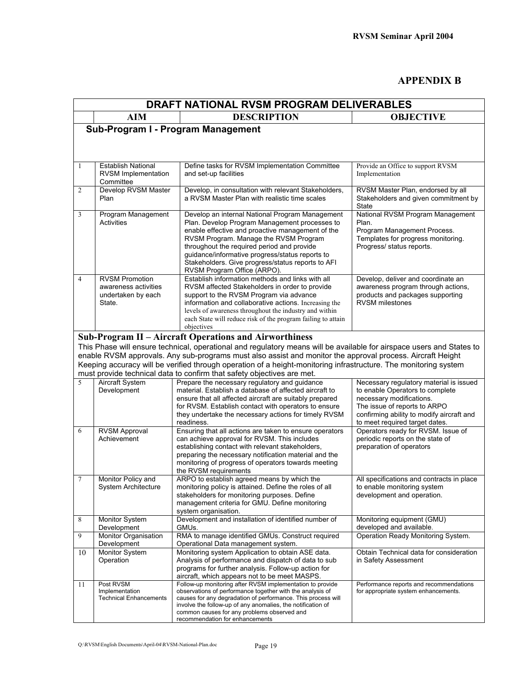#### **APPENDIX B**

| DRAFT NATIONAL RVSM PROGRAM DELIVERABLES |                                                                               |                                                                                                                                                                                                                                                                                                                                                                                    |                                                                                                                                             |  |  |  |  |
|------------------------------------------|-------------------------------------------------------------------------------|------------------------------------------------------------------------------------------------------------------------------------------------------------------------------------------------------------------------------------------------------------------------------------------------------------------------------------------------------------------------------------|---------------------------------------------------------------------------------------------------------------------------------------------|--|--|--|--|
|                                          | <b>AIM</b>                                                                    | <b>DESCRIPTION</b>                                                                                                                                                                                                                                                                                                                                                                 | <b>OBJECTIVE</b>                                                                                                                            |  |  |  |  |
|                                          |                                                                               | Sub-Program I - Program Management                                                                                                                                                                                                                                                                                                                                                 |                                                                                                                                             |  |  |  |  |
|                                          |                                                                               |                                                                                                                                                                                                                                                                                                                                                                                    |                                                                                                                                             |  |  |  |  |
|                                          |                                                                               |                                                                                                                                                                                                                                                                                                                                                                                    |                                                                                                                                             |  |  |  |  |
| 1                                        | <b>Establish National</b><br><b>RVSM Implementation</b><br>Committee          | Define tasks for RVSM Implementation Committee<br>and set-up facilities                                                                                                                                                                                                                                                                                                            | Provide an Office to support RVSM<br>Implementation                                                                                         |  |  |  |  |
| $\overline{2}$                           | Develop RVSM Master<br>Plan                                                   | Develop, in consultation with relevant Stakeholders,<br>a RVSM Master Plan with realistic time scales                                                                                                                                                                                                                                                                              | RVSM Master Plan, endorsed by all<br>Stakeholders and given commitment by<br>State                                                          |  |  |  |  |
| 3                                        | Program Management<br><b>Activities</b>                                       | Develop an internal National Program Management<br>Plan. Develop Program Management processes to<br>enable effective and proactive management of the<br>RVSM Program. Manage the RVSM Program<br>throughout the required period and provide<br>guidance/informative progress/status reports to<br>Stakeholders. Give progress/status reports to AFI<br>RVSM Program Office (ARPO). | National RVSM Program Management<br>Plan.<br>Program Management Process.<br>Templates for progress monitoring.<br>Progress/ status reports. |  |  |  |  |
| $\overline{4}$                           | <b>RVSM Promotion</b><br>awareness activities<br>undertaken by each<br>State. | Establish information methods and links with all<br>RVSM affected Stakeholders in order to provide<br>support to the RVSM Program via advance<br>information and collaborative actions. Increasing the<br>levels of awareness throughout the industry and within<br>each State will reduce risk of the program failing to attain<br>objectives                                     | Develop, deliver and coordinate an<br>awareness program through actions,<br>products and packages supporting<br><b>RVSM</b> milestones      |  |  |  |  |
|                                          |                                                                               | Sub-Program II – Aircraft Operations and Airworthiness                                                                                                                                                                                                                                                                                                                             |                                                                                                                                             |  |  |  |  |
|                                          |                                                                               | This Phase will ensure technical, operational and regulatory means will be available for airspace users and States to                                                                                                                                                                                                                                                              |                                                                                                                                             |  |  |  |  |
|                                          |                                                                               | enable RVSM approvals. Any sub-programs must also assist and monitor the approval process. Aircraft Height                                                                                                                                                                                                                                                                         |                                                                                                                                             |  |  |  |  |
|                                          |                                                                               | Keeping accuracy will be verified through operation of a height-monitoring infrastructure. The monitoring system                                                                                                                                                                                                                                                                   |                                                                                                                                             |  |  |  |  |
| 5                                        |                                                                               | must provide technical data to confirm that safety objectives are met.                                                                                                                                                                                                                                                                                                             |                                                                                                                                             |  |  |  |  |
|                                          | Aircraft System<br>Development                                                | Prepare the necessary regulatory and guidance<br>material. Establish a database of affected aircraft to                                                                                                                                                                                                                                                                            | Necessary regulatory material is issued<br>to enable Operators to complete                                                                  |  |  |  |  |
|                                          |                                                                               | ensure that all affected aircraft are suitably prepared                                                                                                                                                                                                                                                                                                                            | necessary modifications.                                                                                                                    |  |  |  |  |
|                                          |                                                                               | for RVSM. Establish contact with operators to ensure                                                                                                                                                                                                                                                                                                                               | The issue of reports to ARPO                                                                                                                |  |  |  |  |
|                                          |                                                                               | they undertake the necessary actions for timely RVSM<br>readiness.                                                                                                                                                                                                                                                                                                                 | confirming ability to modify aircraft and                                                                                                   |  |  |  |  |
| 6                                        | <b>RVSM Approval</b>                                                          | Ensuring that all actions are taken to ensure operators                                                                                                                                                                                                                                                                                                                            | to meet required target dates.<br>Operators ready for RVSM. Issue of                                                                        |  |  |  |  |
|                                          | Achievement                                                                   | can achieve approval for RVSM. This includes                                                                                                                                                                                                                                                                                                                                       | periodic reports on the state of                                                                                                            |  |  |  |  |
|                                          |                                                                               | establishing contact with relevant stakeholders,                                                                                                                                                                                                                                                                                                                                   | preparation of operators                                                                                                                    |  |  |  |  |
|                                          |                                                                               | preparing the necessary notification material and the<br>monitoring of progress of operators towards meeting                                                                                                                                                                                                                                                                       |                                                                                                                                             |  |  |  |  |
|                                          |                                                                               | the RVSM requirements                                                                                                                                                                                                                                                                                                                                                              |                                                                                                                                             |  |  |  |  |
| $\tau$                                   | Monitor Policy and                                                            | ARPO to establish agreed means by which the                                                                                                                                                                                                                                                                                                                                        | All specifications and contracts in place                                                                                                   |  |  |  |  |
|                                          | System Architecture                                                           | monitoring policy is attained. Define the roles of all<br>stakeholders for monitoring purposes. Define<br>management criteria for GMU. Define monitoring<br>system organisation.                                                                                                                                                                                                   | to enable monitoring system<br>development and operation.                                                                                   |  |  |  |  |
| 8                                        | Monitor System                                                                | Development and installation of identified number of                                                                                                                                                                                                                                                                                                                               | Monitoring equipment (GMU)                                                                                                                  |  |  |  |  |
|                                          | Development                                                                   | GMUs.                                                                                                                                                                                                                                                                                                                                                                              | developed and available.                                                                                                                    |  |  |  |  |
| 9                                        | Monitor Organisation<br>Development                                           | RMA to manage identified GMUs. Construct required<br>Operational Data management system.                                                                                                                                                                                                                                                                                           | Operation Ready Monitoring System.                                                                                                          |  |  |  |  |
| 10                                       | Monitor System                                                                | Monitoring system Application to obtain ASE data.                                                                                                                                                                                                                                                                                                                                  | Obtain Technical data for consideration                                                                                                     |  |  |  |  |
|                                          | Operation                                                                     | Analysis of performance and dispatch of data to sub                                                                                                                                                                                                                                                                                                                                | in Safety Assessment                                                                                                                        |  |  |  |  |
|                                          |                                                                               | programs for further analysis. Follow-up action for                                                                                                                                                                                                                                                                                                                                |                                                                                                                                             |  |  |  |  |
|                                          | Post RVSM                                                                     | aircraft, which appears not to be meet MASPS.<br>Follow-up monitoring after RVSM implementation to provide                                                                                                                                                                                                                                                                         | Performance reports and recommendations                                                                                                     |  |  |  |  |
| 11                                       | Implementation                                                                | observations of performance together with the analysis of                                                                                                                                                                                                                                                                                                                          | for appropriate system enhancements.                                                                                                        |  |  |  |  |
|                                          | <b>Technical Enhancements</b>                                                 | causes for any degradation of performance. This process will                                                                                                                                                                                                                                                                                                                       |                                                                                                                                             |  |  |  |  |
|                                          |                                                                               | involve the follow-up of any anomalies, the notification of<br>common causes for any problems observed and                                                                                                                                                                                                                                                                         |                                                                                                                                             |  |  |  |  |
|                                          |                                                                               | recommendation for enhancements                                                                                                                                                                                                                                                                                                                                                    |                                                                                                                                             |  |  |  |  |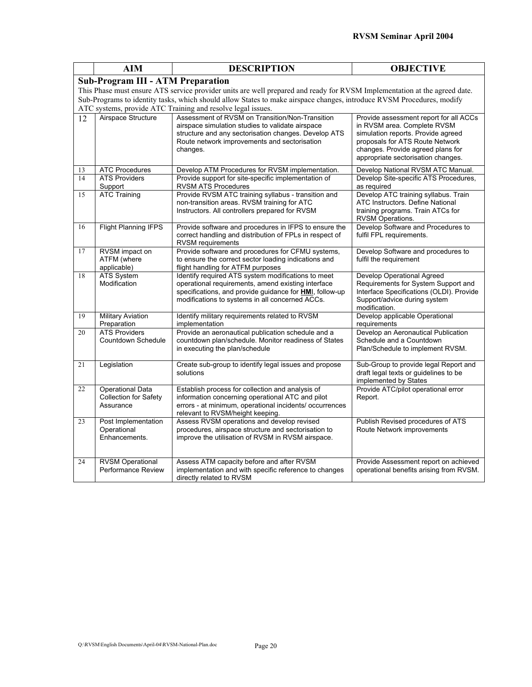|                                                                                                                           | <b>AIM</b><br><b>DESCRIPTION</b>                              |                                                                                                                                                                                                                                | <b>OBJECTIVE</b>                                                                                                                                                                                                          |  |  |  |  |  |  |
|---------------------------------------------------------------------------------------------------------------------------|---------------------------------------------------------------|--------------------------------------------------------------------------------------------------------------------------------------------------------------------------------------------------------------------------------|---------------------------------------------------------------------------------------------------------------------------------------------------------------------------------------------------------------------------|--|--|--|--|--|--|
|                                                                                                                           | <b>Sub-Program III - ATM Preparation</b>                      |                                                                                                                                                                                                                                |                                                                                                                                                                                                                           |  |  |  |  |  |  |
| This Phase must ensure ATS service provider units are well prepared and ready for RVSM Implementation at the agreed date. |                                                               |                                                                                                                                                                                                                                |                                                                                                                                                                                                                           |  |  |  |  |  |  |
| Sub-Programs to identity tasks, which should allow States to make airspace changes, introduce RVSM Procedures, modify     |                                                               |                                                                                                                                                                                                                                |                                                                                                                                                                                                                           |  |  |  |  |  |  |
| ATC systems, provide ATC Training and resolve legal issues.                                                               |                                                               |                                                                                                                                                                                                                                |                                                                                                                                                                                                                           |  |  |  |  |  |  |
| 12                                                                                                                        | Airspace Structure                                            | Assessment of RVSM on Transition/Non-Transition<br>airspace simulation studies to validate airspace<br>structure and any sectorisation changes. Develop ATS<br>Route network improvements and sectorisation<br>changes.        | Provide assessment report for all ACCs<br>in RVSM area. Complete RVSM<br>simulation reports. Provide agreed<br>proposals for ATS Route Network<br>changes. Provide agreed plans for<br>appropriate sectorisation changes. |  |  |  |  |  |  |
| 13                                                                                                                        | <b>ATC Procedures</b>                                         | Develop ATM Procedures for RVSM implementation.                                                                                                                                                                                | Develop National RVSM ATC Manual.                                                                                                                                                                                         |  |  |  |  |  |  |
| 14                                                                                                                        | <b>ATS Providers</b><br>Support                               | Provide support for site-specific implementation of<br>RVSM ATS Procedures                                                                                                                                                     | Develop Site-specific ATS Procedures,<br>as required                                                                                                                                                                      |  |  |  |  |  |  |
| 15                                                                                                                        | <b>ATC Training</b>                                           | Provide RVSM ATC training syllabus - transition and<br>non-transition areas. RVSM training for ATC<br>Instructors. All controllers prepared for RVSM                                                                           | Develop ATC training syllabus. Train<br>ATC Instructors. Define National<br>training programs. Train ATCs for<br>RVSM Operations.                                                                                         |  |  |  |  |  |  |
| 16                                                                                                                        | <b>Flight Planning IFPS</b>                                   | Provide software and procedures in IFPS to ensure the<br>correct handling and distribution of FPLs in respect of<br><b>RVSM</b> requirements                                                                                   | Develop Software and Procedures to<br>fulfil FPL requirements.                                                                                                                                                            |  |  |  |  |  |  |
| 17                                                                                                                        | RVSM impact on                                                | Provide software and procedures for CFMU systems,                                                                                                                                                                              | Develop Software and procedures to                                                                                                                                                                                        |  |  |  |  |  |  |
|                                                                                                                           | ATFM (where<br>applicable)                                    | to ensure the correct sector loading indications and<br>flight handling for ATFM purposes                                                                                                                                      | fulfil the requirement                                                                                                                                                                                                    |  |  |  |  |  |  |
| 18                                                                                                                        | <b>ATS System</b><br>Modification                             | Identify required ATS system modifications to meet<br>operational requirements, amend existing interface<br>specifications, and provide guidance for <b>HMI</b> , follow-up<br>modifications to systems in all concerned ACCs. | Develop Operational Agreed<br>Requirements for System Support and<br>Interface Specifications (OLDI). Provide<br>Support/advice during system<br>modification.                                                            |  |  |  |  |  |  |
| 19                                                                                                                        | <b>Military Aviation</b><br>Preparation                       | Identify military requirements related to RVSM<br>implementation                                                                                                                                                               | Develop applicable Operational<br>requirements                                                                                                                                                                            |  |  |  |  |  |  |
| 20                                                                                                                        | <b>ATS Providers</b><br>Countdown Schedule                    | Provide an aeronautical publication schedule and a<br>countdown plan/schedule. Monitor readiness of States<br>in executing the plan/schedule                                                                                   | Develop an Aeronautical Publication<br>Schedule and a Countdown<br>Plan/Schedule to implement RVSM.                                                                                                                       |  |  |  |  |  |  |
| 21                                                                                                                        | Legislation                                                   | Create sub-group to identify legal issues and propose<br>solutions                                                                                                                                                             | Sub-Group to provide legal Report and<br>draft legal texts or guidelines to be<br>implemented by States                                                                                                                   |  |  |  |  |  |  |
| 22                                                                                                                        | <b>Operational Data</b><br>Collection for Safety<br>Assurance | Establish process for collection and analysis of<br>information concerning operational ATC and pilot<br>errors - at minimum, operational incidents/ occurrences<br>relevant to RVSM/height keeping.                            | Provide ATC/pilot operational error<br>Report.                                                                                                                                                                            |  |  |  |  |  |  |
| 23                                                                                                                        | Post Implementation<br>Operational<br>Enhancements.           | Assess RVSM operations and develop revised<br>procedures, airspace structure and sectorisation to<br>improve the utilisation of RVSM in RVSM airspace.                                                                         | Publish Revised procedures of ATS<br>Route Network improvements                                                                                                                                                           |  |  |  |  |  |  |
| 24                                                                                                                        | <b>RVSM Operational</b><br>Performance Review                 | Assess ATM capacity before and after RVSM<br>implementation and with specific reference to changes<br>directly related to RVSM                                                                                                 | Provide Assessment report on achieved<br>operational benefits arising from RVSM.                                                                                                                                          |  |  |  |  |  |  |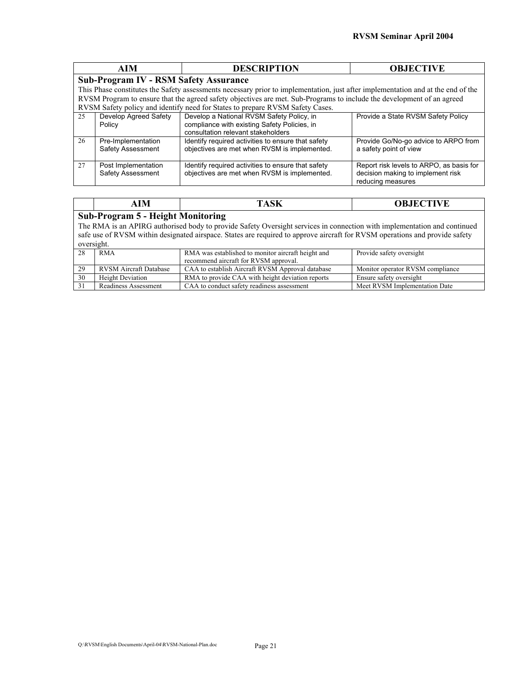|                                              | <b>AIM</b>                                                                                                                       | <b>DESCRIPTION</b>                                                                                                              | <b>OBJECTIVE</b>                                                                                   |  |  |  |  |
|----------------------------------------------|----------------------------------------------------------------------------------------------------------------------------------|---------------------------------------------------------------------------------------------------------------------------------|----------------------------------------------------------------------------------------------------|--|--|--|--|
| <b>Sub-Program IV - RSM Safety Assurance</b> |                                                                                                                                  |                                                                                                                                 |                                                                                                    |  |  |  |  |
|                                              | This Phase constitutes the Safety assessments necessary prior to implementation, just after implementation and at the end of the |                                                                                                                                 |                                                                                                    |  |  |  |  |
|                                              |                                                                                                                                  | RVSM Program to ensure that the agreed safety objectives are met. Sub-Programs to include the development of an agreed          |                                                                                                    |  |  |  |  |
|                                              |                                                                                                                                  | RVSM Safety policy and identify need for States to prepare RVSM Safety Cases.                                                   |                                                                                                    |  |  |  |  |
| 25                                           | Develop Agreed Safety<br>Policy                                                                                                  | Develop a National RVSM Safety Policy, in<br>compliance with existing Safety Policies, in<br>consultation relevant stakeholders | Provide a State RVSM Safety Policy                                                                 |  |  |  |  |
| 26                                           | Pre-Implementation<br>Safety Assessment                                                                                          | Identify required activities to ensure that safety<br>objectives are met when RVSM is implemented.                              | Provide Go/No-go advice to ARPO from<br>a safety point of view                                     |  |  |  |  |
| 27                                           | Post Implementation<br>Safety Assessment                                                                                         | Identify required activities to ensure that safety<br>objectives are met when RVSM is implemented.                              | Report risk levels to ARPO, as basis for<br>decision making to implement risk<br>reducing measures |  |  |  |  |

| AIM                                                         | $\sim$ $\sim$ $\sim$<br>і Аэл | AD IE <i>c</i> tive<br>- 14 |  |  |  |  |
|-------------------------------------------------------------|-------------------------------|-----------------------------|--|--|--|--|
| $\blacksquare$<br>$\mathbf{B}$ is a contact in $\mathbf{A}$ |                               |                             |  |  |  |  |

#### **Sub-Program 5 - Height Monitoring**

The RMA is an APIRG authorised body to provide Safety Oversight services in connection with implementation and continued safe use of RVSM within designated airspace. States are required to approve aircraft for RVSM operations and provide safety oversight.

|    | <b>RMA</b>             | RMA was established to monitor aircraft height and | Provide safety oversight         |
|----|------------------------|----------------------------------------------------|----------------------------------|
|    |                        | recommend aircraft for RVSM approval.              |                                  |
| 29 | RVSM Aircraft Database | CAA to establish Aircraft RVSM Approval database   | Monitor operator RVSM compliance |
| 30 | Height Deviation       | RMA to provide CAA with height deviation reports   | Ensure safety oversight          |
|    | Readiness Assessment   | CAA to conduct safety readiness assessment         | Meet RVSM Implementation Date    |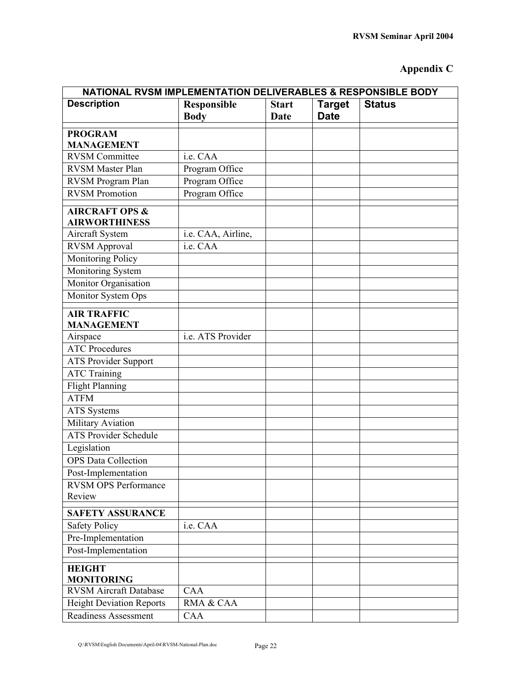## **Appendix C**

| NATIONAL RVSM IMPLEMENTATION DELIVERABLES & RESPONSIBLE BODY |                            |                             |                              |               |  |  |
|--------------------------------------------------------------|----------------------------|-----------------------------|------------------------------|---------------|--|--|
| <b>Description</b>                                           | Responsible<br><b>Body</b> | <b>Start</b><br><b>Date</b> | <b>Target</b><br><b>Date</b> | <b>Status</b> |  |  |
| <b>PROGRAM</b>                                               |                            |                             |                              |               |  |  |
| <b>MANAGEMENT</b>                                            |                            |                             |                              |               |  |  |
| <b>RVSM Committee</b>                                        | i.e. CAA                   |                             |                              |               |  |  |
| <b>RVSM Master Plan</b>                                      | Program Office             |                             |                              |               |  |  |
| RVSM Program Plan                                            | Program Office             |                             |                              |               |  |  |
| <b>RVSM Promotion</b>                                        | Program Office             |                             |                              |               |  |  |
| <b>AIRCRAFT OPS &amp;</b><br><b>AIRWORTHINESS</b>            |                            |                             |                              |               |  |  |
| Aircraft System                                              | i.e. CAA, Airline,         |                             |                              |               |  |  |
| <b>RVSM Approval</b>                                         | i.e. CAA                   |                             |                              |               |  |  |
| Monitoring Policy                                            |                            |                             |                              |               |  |  |
| Monitoring System                                            |                            |                             |                              |               |  |  |
| Monitor Organisation                                         |                            |                             |                              |               |  |  |
| Monitor System Ops                                           |                            |                             |                              |               |  |  |
| <b>AIR TRAFFIC</b><br><b>MANAGEMENT</b>                      |                            |                             |                              |               |  |  |
| Airspace                                                     | i.e. ATS Provider          |                             |                              |               |  |  |
| <b>ATC</b> Procedures                                        |                            |                             |                              |               |  |  |
| <b>ATS Provider Support</b>                                  |                            |                             |                              |               |  |  |
| <b>ATC Training</b>                                          |                            |                             |                              |               |  |  |
| <b>Flight Planning</b>                                       |                            |                             |                              |               |  |  |
| $\overline{ATFM}$                                            |                            |                             |                              |               |  |  |
| <b>ATS</b> Systems                                           |                            |                             |                              |               |  |  |
| Military Aviation                                            |                            |                             |                              |               |  |  |
| <b>ATS Provider Schedule</b>                                 |                            |                             |                              |               |  |  |
| Legislation                                                  |                            |                             |                              |               |  |  |
| <b>OPS</b> Data Collection                                   |                            |                             |                              |               |  |  |
| Post-Implementation                                          |                            |                             |                              |               |  |  |
| <b>RVSM OPS Performance</b>                                  |                            |                             |                              |               |  |  |
| Review                                                       |                            |                             |                              |               |  |  |
| <b>SAFETY ASSURANCE</b>                                      |                            |                             |                              |               |  |  |
| <b>Safety Policy</b>                                         | i.e. CAA                   |                             |                              |               |  |  |
| Pre-Implementation                                           |                            |                             |                              |               |  |  |
| Post-Implementation                                          |                            |                             |                              |               |  |  |
| <b>HEIGHT</b><br><b>MONITORING</b>                           |                            |                             |                              |               |  |  |
| <b>RVSM Aircraft Database</b>                                | CAA                        |                             |                              |               |  |  |
| <b>Height Deviation Reports</b>                              | RMA & CAA                  |                             |                              |               |  |  |
| Readiness Assessment                                         | CAA                        |                             |                              |               |  |  |